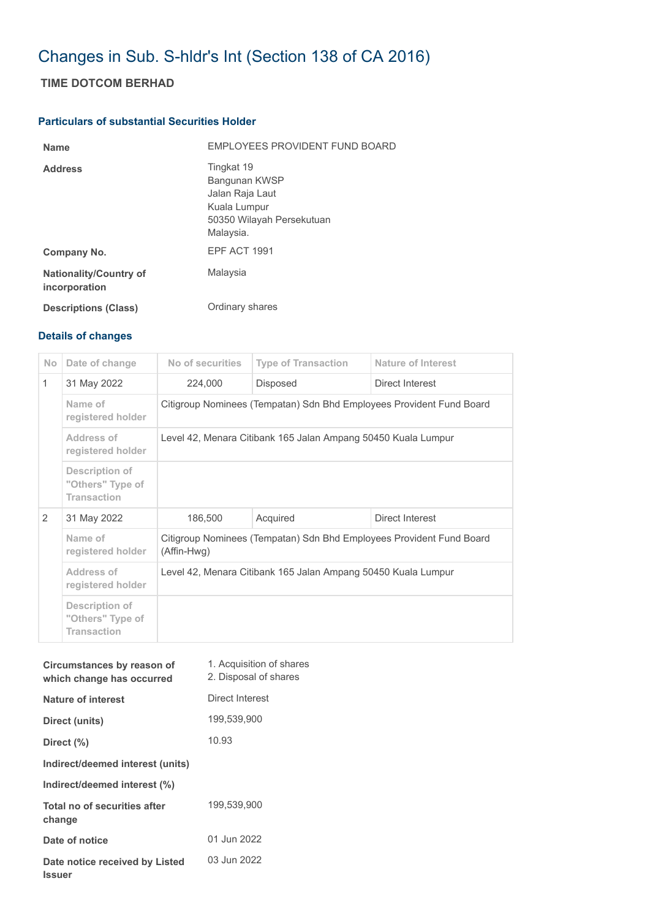## Changes in Sub. S-hldr's Int (Section 138 of CA 2016)

## **TIME DOTCOM BERHAD**

## **Particulars of substantial Securities Holder**

| <b>Name</b>                                    | EMPLOYEES PROVIDENT FUND BOARD                                                                           |
|------------------------------------------------|----------------------------------------------------------------------------------------------------------|
| <b>Address</b>                                 | Tingkat 19<br>Bangunan KWSP<br>Jalan Raja Laut<br>Kuala Lumpur<br>50350 Wilayah Persekutuan<br>Malaysia. |
| Company No.                                    | EPF ACT 1991                                                                                             |
| <b>Nationality/Country of</b><br>incorporation | Malaysia                                                                                                 |
| <b>Descriptions (Class)</b>                    | Ordinary shares                                                                                          |

## **Details of changes**

| No.          | Date of change                                           | No of securities                                                                    | <b>Type of Transaction</b> | Nature of Interest |  |  |
|--------------|----------------------------------------------------------|-------------------------------------------------------------------------------------|----------------------------|--------------------|--|--|
| $\mathbf{1}$ | 31 May 2022                                              | 224,000                                                                             | <b>Disposed</b>            | Direct Interest    |  |  |
|              | Name of<br>registered holder                             | Citigroup Nominees (Tempatan) Sdn Bhd Employees Provident Fund Board                |                            |                    |  |  |
|              | Address of<br>registered holder                          | Level 42, Menara Citibank 165 Jalan Ampang 50450 Kuala Lumpur                       |                            |                    |  |  |
|              | Description of<br>"Others" Type of<br><b>Transaction</b> |                                                                                     |                            |                    |  |  |
| 2            | 31 May 2022                                              | 186,500                                                                             | Acquired                   | Direct Interest    |  |  |
|              | Name of<br>registered holder                             | Citigroup Nominees (Tempatan) Sdn Bhd Employees Provident Fund Board<br>(Affin-Hwg) |                            |                    |  |  |
|              | Address of<br>registered holder                          | Level 42, Menara Citibank 165 Jalan Ampang 50450 Kuala Lumpur                       |                            |                    |  |  |
|              | Description of<br>"Others" Type of<br><b>Transaction</b> |                                                                                     |                            |                    |  |  |

| Circumstances by reason of<br>which change has occurred | 1. Acquisition of shares<br>2. Disposal of shares |
|---------------------------------------------------------|---------------------------------------------------|
| Nature of interest                                      | Direct Interest                                   |
| Direct (units)                                          | 199,539,900                                       |
| Direct (%)                                              | 10.93                                             |
| Indirect/deemed interest (units)                        |                                                   |
| Indirect/deemed interest (%)                            |                                                   |
| Total no of securities after<br>change                  | 199,539,900                                       |
| Date of notice                                          | 01 Jun 2022                                       |
| Date notice received by Listed<br><b>Issuer</b>         | 03 Jun 2022                                       |
|                                                         |                                                   |